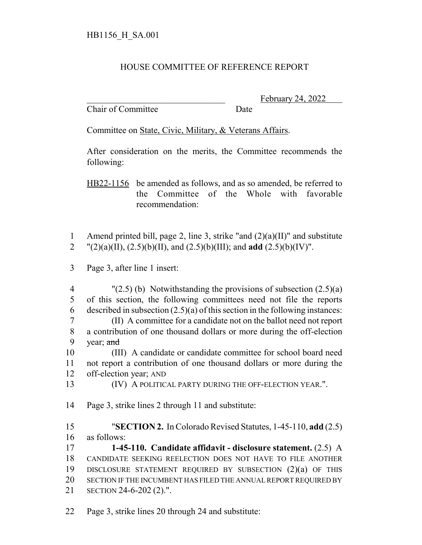## HOUSE COMMITTEE OF REFERENCE REPORT

Chair of Committee Date

February 24, 2022

Committee on State, Civic, Military, & Veterans Affairs.

After consideration on the merits, the Committee recommends the following:

HB22-1156 be amended as follows, and as so amended, be referred to the Committee of the Whole with favorable recommendation:

1 Amend printed bill, page 2, line 3, strike "and (2)(a)(II)" and substitute 2  $"(2)(a)(II), (2.5)(b)(II), and (2.5)(b)(III); and add (2.5)(b)(IV)".$ 

3 Page 3, after line 1 insert:

4 "(2.5) (b) Notwithstanding the provisions of subsection  $(2.5)(a)$ 5 of this section, the following committees need not file the reports 6 described in subsection  $(2.5)(a)$  of this section in the following instances: 7 (II) A committee for a candidate not on the ballot need not report 8 a contribution of one thousand dollars or more during the off-election 9 year; and 10 (III) A candidate or candidate committee for school board need

11 not report a contribution of one thousand dollars or more during the 12 off-election year; AND

13 (IV) A POLITICAL PARTY DURING THE OFF-ELECTION YEAR.".

14 Page 3, strike lines 2 through 11 and substitute:

15 "**SECTION 2.** In Colorado Revised Statutes, 1-45-110, **add** (2.5) 16 as follows:

 **1-45-110. Candidate affidavit - disclosure statement.** (2.5) A CANDIDATE SEEKING REELECTION DOES NOT HAVE TO FILE ANOTHER DISCLOSURE STATEMENT REQUIRED BY SUBSECTION (2)(a) OF THIS 20 SECTION IF THE INCUMBENT HAS FILED THE ANNUAL REPORT REQUIRED BY SECTION 24-6-202 (2).".

22 Page 3, strike lines 20 through 24 and substitute: